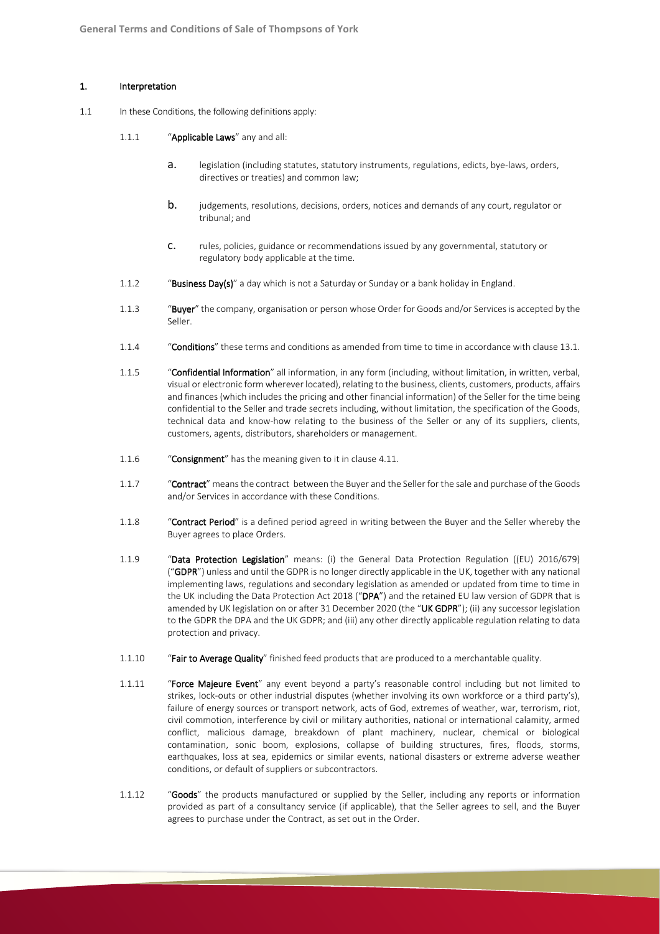#### 1. Interpretation

- 1.1 In these Conditions, the following definitions apply:
	- 1.1.1 "Applicable Laws" any and all:
		- a. legislation (including statutes, statutory instruments, regulations, edicts, bye-laws, orders, directives or treaties) and common law;
		- **b.** judgements, resolutions, decisions, orders, notices and demands of any court, regulator or tribunal; and
		- c. rules, policies, guidance or recommendations issued by any governmental, statutory or regulatory body applicable at the time.
	- 1.1.2 "Business Day(s)" a day which is not a Saturday or Sunday or a bank holiday in England.
	- 1.1.3 "Buyer" the company, organisation or person whose Order for Goods and/or Services is accepted by the Seller.
	- 1.1.4 "Conditions" these terms and conditions as amended from time to time in accordance with clause 13.1.
	- 1.1.5 "Confidential Information" all information, in any form (including, without limitation, in written, verbal, visual or electronic form wherever located), relating to the business, clients, customers, products, affairs and finances (which includes the pricing and other financial information) of the Seller for the time being confidential to the Seller and trade secrets including, without limitation, the specification of the Goods, technical data and know-how relating to the business of the Seller or any of its suppliers, clients, customers, agents, distributors, shareholders or management.
	- 1.1.6 "Consignment" has the meaning given to it in clause 4.11.
	- 1.1.7 "Contract" means the contract between the Buyer and the Seller for the sale and purchase of the Goods and/or Services in accordance with these Conditions.
	- 1.1.8 "Contract Period" is a defined period agreed in writing between the Buyer and the Seller whereby the Buyer agrees to place Orders.
	- 1.1.9 "Data Protection Legislation" means: (i) the General Data Protection Regulation ((EU) 2016/679) ("GDPR") unless and until the GDPR is no longer directly applicable in the UK, together with any national implementing laws, regulations and secondary legislation as amended or updated from time to time in the UK including the Data Protection Act 2018 ("DPA") and the retained EU law version of GDPR that is amended by UK legislation on or after 31 December 2020 (the "UK GDPR"); (ii) any successor legislation to the GDPR the DPA and the UK GDPR; and (iii) any other directly applicable regulation relating to data protection and privacy.
	- 1.1.10 "Fair to Average Quality" finished feed products that are produced to a merchantable quality.
	- 1.1.11 "Force Majeure Event" any event beyond a party's reasonable control including but not limited to strikes, lock-outs or other industrial disputes (whether involving its own workforce or a third party's), failure of energy sources or transport network, acts of God, extremes of weather, war, terrorism, riot, civil commotion, interference by civil or military authorities, national or international calamity, armed conflict, malicious damage, breakdown of plant machinery, nuclear, chemical or biological contamination, sonic boom, explosions, collapse of building structures, fires, floods, storms, earthquakes, loss at sea, epidemics or similar events, national disasters or extreme adverse weather conditions, or default of suppliers or subcontractors.
	- 1.1.12 "Goods" the products manufactured or supplied by the Seller, including any reports or information provided as part of a consultancy service (if applicable), that the Seller agrees to sell, and the Buyer agrees to purchase under the Contract, as set out in the Order.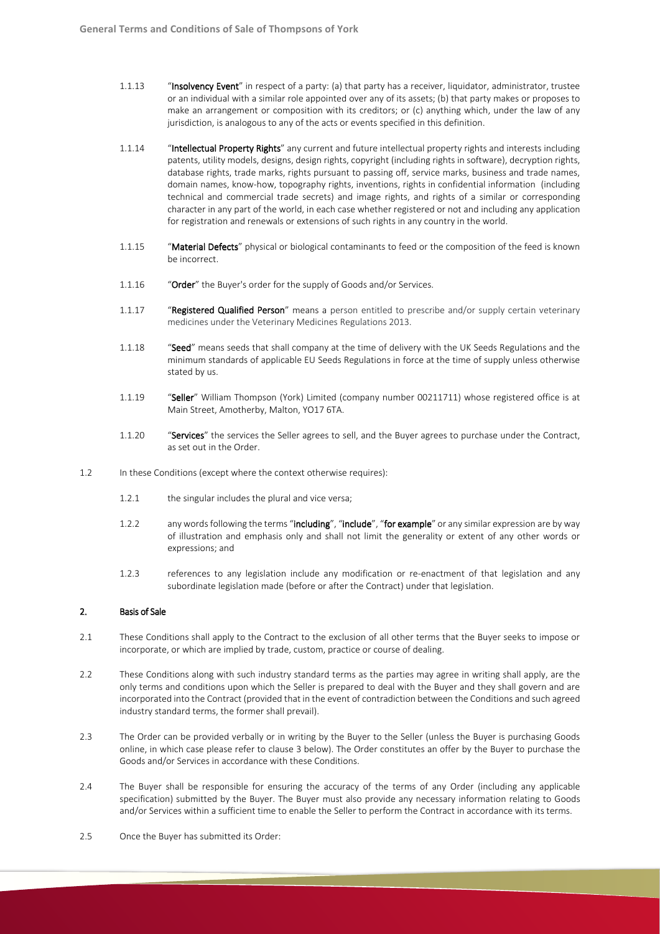- 1.1.13 "Insolvency Event" in respect of a party: (a) that party has a receiver, liquidator, administrator, trustee or an individual with a similar role appointed over any of its assets; (b) that party makes or proposes to make an arrangement or composition with its creditors; or (c) anything which, under the law of any jurisdiction, is analogous to any of the acts or events specified in this definition.
- 1.1.14 "Intellectual Property Rights" any current and future intellectual property rights and interests including patents, utility models, designs, design rights, copyright (including rights in software), decryption rights, database rights, trade marks, rights pursuant to passing off, service marks, business and trade names, domain names, know-how, topography rights, inventions, rights in confidential information (including technical and commercial trade secrets) and image rights, and rights of a similar or corresponding character in any part of the world, in each case whether registered or not and including any application for registration and renewals or extensions of such rights in any country in the world.
- 1.1.15 "Material Defects" physical or biological contaminants to feed or the composition of the feed is known be incorrect.
- 1.1.16 "Order" the Buyer's order for the supply of Goods and/or Services.
- 1.1.17 "Registered Qualified Person" means a person entitled to prescribe and/or supply certain veterinary medicines under the Veterinary Medicines Regulations 2013.
- 1.1.18 "Seed" means seeds that shall company at the time of delivery with the UK Seeds Regulations and the minimum standards of applicable EU Seeds Regulations in force at the time of supply unless otherwise stated by us.
- 1.1.19 "Seller" William Thompson (York) Limited (company number 00211711) whose registered office is at Main Street, Amotherby, Malton, YO17 6TA.
- 1.1.20 "Services" the services the Seller agrees to sell, and the Buyer agrees to purchase under the Contract, as set out in the Order.
- 1.2 In these Conditions (except where the context otherwise requires):
	- 1.2.1 the singular includes the plural and vice versa:
	- 1.2.2 any words following the terms "including", "include", "for example" or any similar expression are by way of illustration and emphasis only and shall not limit the generality or extent of any other words or expressions; and
	- 1.2.3 references to any legislation include any modification or re-enactment of that legislation and any subordinate legislation made (before or after the Contract) under that legislation.

# 2. Basis of Sale

- 2.1 These Conditions shall apply to the Contract to the exclusion of all other terms that the Buyer seeks to impose or incorporate, or which are implied by trade, custom, practice or course of dealing.
- 2.2 These Conditions along with such industry standard terms as the parties may agree in writing shall apply, are the only terms and conditions upon which the Seller is prepared to deal with the Buyer and they shall govern and are incorporated into the Contract (provided that in the event of contradiction between the Conditions and such agreed industry standard terms, the former shall prevail).
- 2.3 The Order can be provided verbally or in writing by the Buyer to the Seller (unless the Buyer is purchasing Goods online, in which case please refer to clause 3 below). The Order constitutes an offer by the Buyer to purchase the Goods and/or Services in accordance with these Conditions.
- 2.4 The Buyer shall be responsible for ensuring the accuracy of the terms of any Order (including any applicable specification) submitted by the Buyer. The Buyer must also provide any necessary information relating to Goods and/or Services within a sufficient time to enable the Seller to perform the Contract in accordance with its terms.
- 2.5 Once the Buyer has submitted its Order: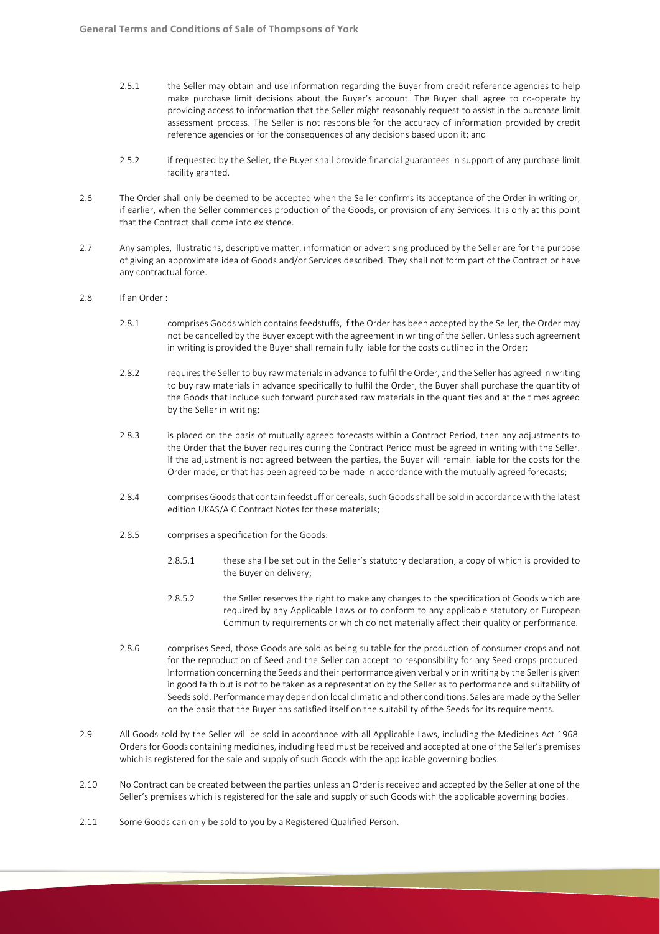- 2.5.1 the Seller may obtain and use information regarding the Buyer from credit reference agencies to help make purchase limit decisions about the Buyer's account. The Buyer shall agree to co-operate by providing access to information that the Seller might reasonably request to assist in the purchase limit assessment process. The Seller is not responsible for the accuracy of information provided by credit reference agencies or for the consequences of any decisions based upon it; and
- 2.5.2 if requested by the Seller, the Buyer shall provide financial guarantees in support of any purchase limit facility granted.
- 2.6 The Order shall only be deemed to be accepted when the Seller confirms its acceptance of the Order in writing or, if earlier, when the Seller commences production of the Goods, or provision of any Services. It is only at this point that the Contract shall come into existence.
- 2.7 Any samples, illustrations, descriptive matter, information or advertising produced by the Seller are for the purpose of giving an approximate idea of Goods and/or Services described. They shall not form part of the Contract or have any contractual force.
- 2.8 If an Order :
	- 2.8.1 comprises Goods which contains feedstuffs, if the Order has been accepted by the Seller, the Order may not be cancelled by the Buyer except with the agreement in writing of the Seller. Unless such agreement in writing is provided the Buyer shall remain fully liable for the costs outlined in the Order;
	- 2.8.2 requires the Seller to buy raw materials in advance to fulfil the Order, and the Seller has agreed in writing to buy raw materials in advance specifically to fulfil the Order, the Buyer shall purchase the quantity of the Goods that include such forward purchased raw materials in the quantities and at the times agreed by the Seller in writing;
	- 2.8.3 is placed on the basis of mutually agreed forecasts within a Contract Period, then any adjustments to the Order that the Buyer requires during the Contract Period must be agreed in writing with the Seller. If the adjustment is not agreed between the parties, the Buyer will remain liable for the costs for the Order made, or that has been agreed to be made in accordance with the mutually agreed forecasts;
	- 2.8.4 comprises Goods that contain feedstuff or cereals, such Goods shall be sold in accordance with the latest edition UKAS/AIC Contract Notes for these materials;
	- 2.8.5 comprises a specification for the Goods:
		- 2.8.5.1 these shall be set out in the Seller's statutory declaration, a copy of which is provided to the Buyer on delivery;
		- 2.8.5.2 the Seller reserves the right to make any changes to the specification of Goods which are required by any Applicable Laws or to conform to any applicable statutory or European Community requirements or which do not materially affect their quality or performance.
	- 2.8.6 comprises Seed, those Goods are sold as being suitable for the production of consumer crops and not for the reproduction of Seed and the Seller can accept no responsibility for any Seed crops produced. Information concerning the Seeds and their performance given verbally or in writing by the Seller is given in good faith but is not to be taken as a representation by the Seller as to performance and suitability of Seeds sold. Performance may depend on local climatic and other conditions. Sales are made by the Seller on the basis that the Buyer has satisfied itself on the suitability of the Seeds for its requirements.
- 2.9 All Goods sold by the Seller will be sold in accordance with all Applicable Laws, including the Medicines Act 1968. Orders for Goods containing medicines, including feed must be received and accepted at one of the Seller's premises which is registered for the sale and supply of such Goods with the applicable governing bodies.
- 2.10 No Contract can be created between the parties unless an Order is received and accepted by the Seller at one of the Seller's premises which is registered for the sale and supply of such Goods with the applicable governing bodies.
- 2.11 Some Goods can only be sold to you by a Registered Qualified Person.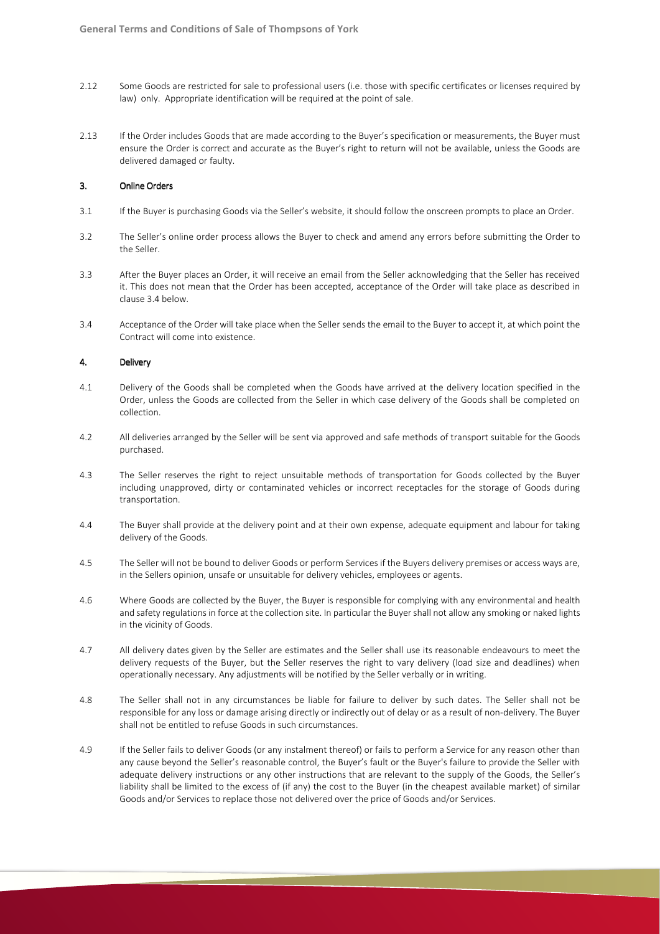- 2.12 Some Goods are restricted for sale to professional users (i.e. those with specific certificates or licenses required by law) only. Appropriate identification will be required at the point of sale.
- 2.13 If the Order includes Goods that are made according to the Buyer's specification or measurements, the Buyer must ensure the Order is correct and accurate as the Buyer's right to return will not be available, unless the Goods are delivered damaged or faulty.

#### 3. Online Orders

- 3.1 If the Buyer is purchasing Goods via the Seller's website, it should follow the onscreen prompts to place an Order.
- 3.2 The Seller's online order process allows the Buyer to check and amend any errors before submitting the Order to the Seller.
- 3.3 After the Buyer places an Order, it will receive an email from the Seller acknowledging that the Seller has received it. This does not mean that the Order has been accepted, acceptance of the Order will take place as described in clause 3.4 below.
- 3.4 Acceptance of the Order will take place when the Seller sends the email to the Buyer to accept it, at which point the Contract will come into existence.

## 4. Delivery

- 4.1 Delivery of the Goods shall be completed when the Goods have arrived at the delivery location specified in the Order, unless the Goods are collected from the Seller in which case delivery of the Goods shall be completed on collection.
- 4.2 All deliveries arranged by the Seller will be sent via approved and safe methods of transport suitable for the Goods purchased.
- 4.3 The Seller reserves the right to reject unsuitable methods of transportation for Goods collected by the Buyer including unapproved, dirty or contaminated vehicles or incorrect receptacles for the storage of Goods during transportation.
- 4.4 The Buyer shall provide at the delivery point and at their own expense, adequate equipment and labour for taking delivery of the Goods.
- 4.5 The Seller will not be bound to deliver Goods or perform Services if the Buyers delivery premises or access ways are, in the Sellers opinion, unsafe or unsuitable for delivery vehicles, employees or agents.
- 4.6 Where Goods are collected by the Buyer, the Buyer is responsible for complying with any environmental and health and safety regulations in force at the collection site. In particular the Buyer shall not allow any smoking or naked lights in the vicinity of Goods.
- 4.7 All delivery dates given by the Seller are estimates and the Seller shall use its reasonable endeavours to meet the delivery requests of the Buyer, but the Seller reserves the right to vary delivery (load size and deadlines) when operationally necessary. Any adjustments will be notified by the Seller verbally or in writing.
- 4.8 The Seller shall not in any circumstances be liable for failure to deliver by such dates. The Seller shall not be responsible for any loss or damage arising directly or indirectly out of delay or as a result of non-delivery. The Buyer shall not be entitled to refuse Goods in such circumstances.
- 4.9 If the Seller fails to deliver Goods (or any instalment thereof) or fails to perform a Service for any reason other than any cause beyond the Seller's reasonable control, the Buyer's fault or the Buyer's failure to provide the Seller with adequate delivery instructions or any other instructions that are relevant to the supply of the Goods, the Seller's liability shall be limited to the excess of (if any) the cost to the Buyer (in the cheapest available market) of similar Goods and/or Services to replace those not delivered over the price of Goods and/or Services.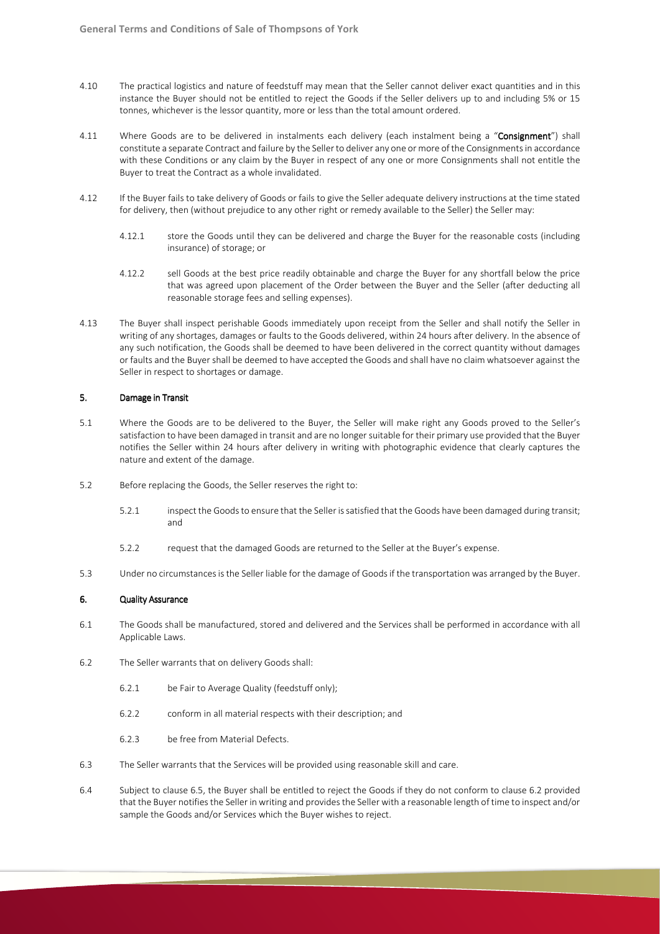- 4.10 The practical logistics and nature of feedstuff may mean that the Seller cannot deliver exact quantities and in this instance the Buyer should not be entitled to reject the Goods if the Seller delivers up to and including 5% or 15 tonnes, whichever is the lessor quantity, more or less than the total amount ordered.
- 4.11 Where Goods are to be delivered in instalments each delivery (each instalment being a "Consignment") shall constitute a separate Contract and failure by the Seller to deliver any one or more of the Consignments in accordance with these Conditions or any claim by the Buyer in respect of any one or more Consignments shall not entitle the Buyer to treat the Contract as a whole invalidated.
- 4.12 If the Buyer fails to take delivery of Goods or fails to give the Seller adequate delivery instructions at the time stated for delivery, then (without prejudice to any other right or remedy available to the Seller) the Seller may:
	- 4.12.1 store the Goods until they can be delivered and charge the Buyer for the reasonable costs (including insurance) of storage; or
	- 4.12.2 sell Goods at the best price readily obtainable and charge the Buyer for any shortfall below the price that was agreed upon placement of the Order between the Buyer and the Seller (after deducting all reasonable storage fees and selling expenses).
- 4.13 The Buyer shall inspect perishable Goods immediately upon receipt from the Seller and shall notify the Seller in writing of any shortages, damages or faults to the Goods delivered, within 24 hours after delivery. In the absence of any such notification, the Goods shall be deemed to have been delivered in the correct quantity without damages or faults and the Buyer shall be deemed to have accepted the Goods and shall have no claim whatsoever against the Seller in respect to shortages or damage.

### 5. Damage in Transit

- 5.1 Where the Goods are to be delivered to the Buyer, the Seller will make right any Goods proved to the Seller's satisfaction to have been damaged in transit and are no longer suitable for their primary use provided that the Buyer notifies the Seller within 24 hours after delivery in writing with photographic evidence that clearly captures the nature and extent of the damage.
- 5.2 Before replacing the Goods, the Seller reserves the right to:
	- 5.2.1 inspect the Goods to ensure that the Seller is satisfied that the Goods have been damaged during transit; and
	- 5.2.2 request that the damaged Goods are returned to the Seller at the Buyer's expense.
- 5.3 Under no circumstances is the Seller liable for the damage of Goods if the transportation was arranged by the Buyer.

## 6. Quality Assurance

- 6.1 The Goods shall be manufactured, stored and delivered and the Services shall be performed in accordance with all Applicable Laws.
- 6.2 The Seller warrants that on delivery Goods shall:
	- 6.2.1 be Fair to Average Quality (feedstuff only);
	- 6.2.2 conform in all material respects with their description; and
	- 6.2.3 be free from Material Defects.
- 6.3 The Seller warrants that the Services will be provided using reasonable skill and care.
- 6.4 Subject to clause 6.5, the Buyer shall be entitled to reject the Goods if they do not conform to clause 6.2 provided that the Buyer notifies the Seller in writing and provides the Seller with a reasonable length of time to inspect and/or sample the Goods and/or Services which the Buyer wishes to reject.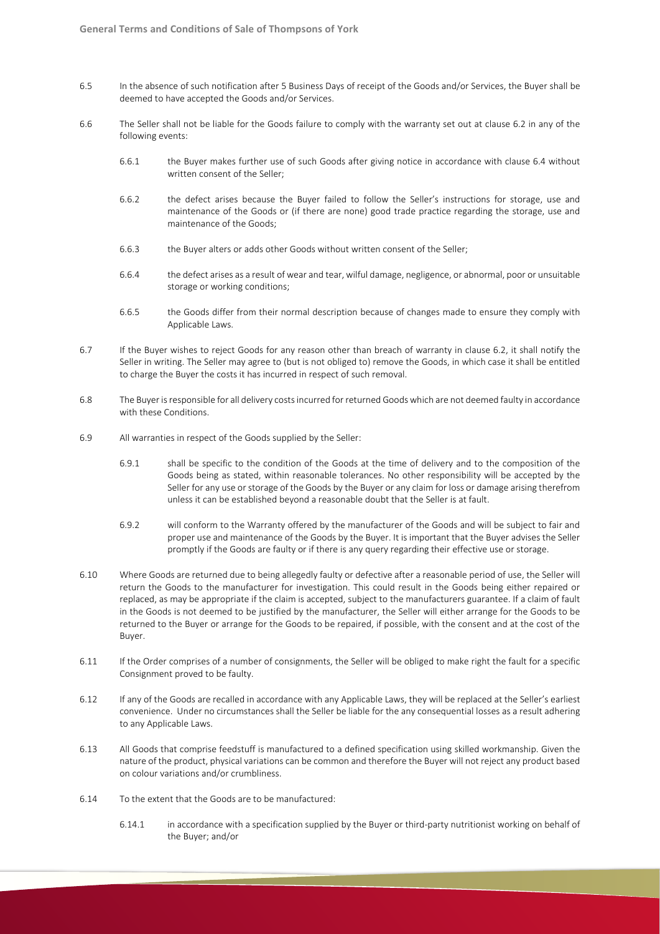- 6.5 In the absence of such notification after 5 Business Days of receipt of the Goods and/or Services, the Buyer shall be deemed to have accepted the Goods and/or Services.
- 6.6 The Seller shall not be liable for the Goods failure to comply with the warranty set out at clause 6.2 in any of the following events:
	- 6.6.1 the Buyer makes further use of such Goods after giving notice in accordance with clause 6.4 without written consent of the Seller;
	- 6.6.2 the defect arises because the Buyer failed to follow the Seller's instructions for storage, use and maintenance of the Goods or (if there are none) good trade practice regarding the storage, use and maintenance of the Goods;
	- 6.6.3 the Buyer alters or adds other Goods without written consent of the Seller;
	- 6.6.4 the defect arises as a result of wear and tear, wilful damage, negligence, or abnormal, poor or unsuitable storage or working conditions;
	- 6.6.5 the Goods differ from their normal description because of changes made to ensure they comply with Applicable Laws.
- 6.7 If the Buyer wishes to reject Goods for any reason other than breach of warranty in clause 6.2, it shall notify the Seller in writing. The Seller may agree to (but is not obliged to) remove the Goods, in which case it shall be entitled to charge the Buyer the costs it has incurred in respect of such removal.
- 6.8 The Buyer is responsible for all delivery costs incurred for returned Goods which are not deemed faulty in accordance with these Conditions.
- 6.9 All warranties in respect of the Goods supplied by the Seller:
	- 6.9.1 shall be specific to the condition of the Goods at the time of delivery and to the composition of the Goods being as stated, within reasonable tolerances. No other responsibility will be accepted by the Seller for any use or storage of the Goods by the Buyer or any claim for loss or damage arising therefrom unless it can be established beyond a reasonable doubt that the Seller is at fault.
	- 6.9.2 will conform to the Warranty offered by the manufacturer of the Goods and will be subject to fair and proper use and maintenance of the Goods by the Buyer. It is important that the Buyer advises the Seller promptly if the Goods are faulty or if there is any query regarding their effective use or storage.
- 6.10 Where Goods are returned due to being allegedly faulty or defective after a reasonable period of use, the Seller will return the Goods to the manufacturer for investigation. This could result in the Goods being either repaired or replaced, as may be appropriate if the claim is accepted, subject to the manufacturers guarantee. If a claim of fault in the Goods is not deemed to be justified by the manufacturer, the Seller will either arrange for the Goods to be returned to the Buyer or arrange for the Goods to be repaired, if possible, with the consent and at the cost of the Buyer.
- 6.11 If the Order comprises of a number of consignments, the Seller will be obliged to make right the fault for a specific Consignment proved to be faulty.
- 6.12 If any of the Goods are recalled in accordance with any Applicable Laws, they will be replaced at the Seller's earliest convenience. Under no circumstances shall the Seller be liable for the any consequential losses as a result adhering to any Applicable Laws.
- 6.13 All Goods that comprise feedstuff is manufactured to a defined specification using skilled workmanship. Given the nature of the product, physical variations can be common and therefore the Buyer will not reject any product based on colour variations and/or crumbliness.
- 6.14 To the extent that the Goods are to be manufactured:
	- 6.14.1 in accordance with a specification supplied by the Buyer or third-party nutritionist working on behalf of the Buyer; and/or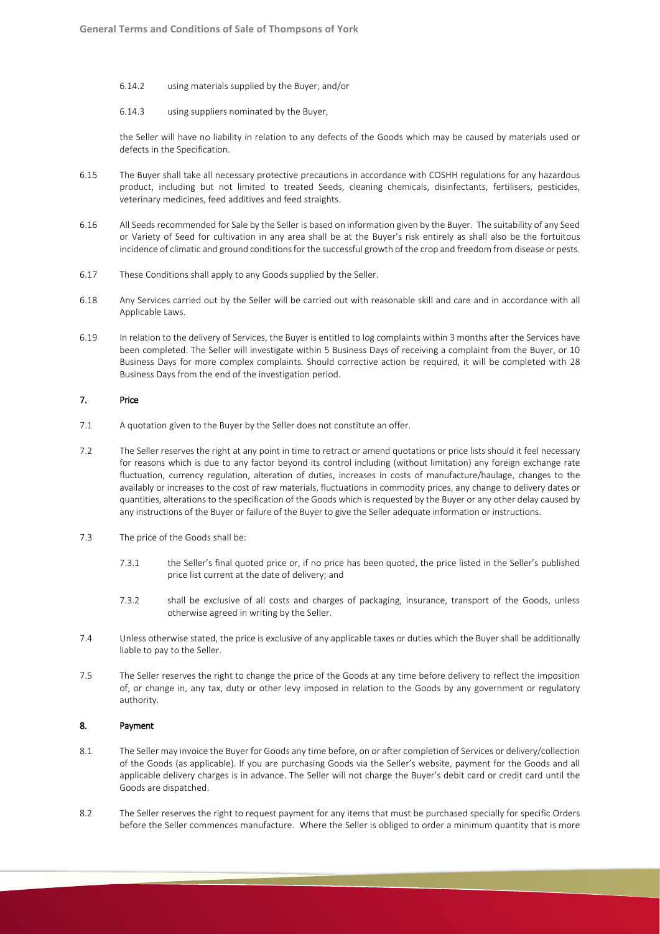- 6.14.2 using materials supplied by the Buyer; and/or
- 6.14.3 using suppliers nominated by the Buyer,

the Seller will have no liability in relation to any defects of the Goods which may be caused by materials used or defects in the Specification.

- 6.15 The Buyer shall take all necessary protective precautions in accordance with COSHH regulations for any hazardous product, including but not limited to treated Seeds, cleaning chemicals, disinfectants, fertilisers, pesticides, veterinary medicines, feed additives and feed straights.
- 6.16 All Seeds recommended for Sale by the Seller is based on information given by the Buyer. The suitability of any Seed or Variety of Seed for cultivation in any area shall be at the Buyer's risk entirely as shall also be the fortuitous incidence of climatic and ground conditions for the successful growth of the crop and freedom from disease or pests.
- 6.17 These Conditions shall apply to any Goods supplied by the Seller.
- 6.18 Any Services carried out by the Seller will be carried out with reasonable skill and care and in accordance with all Applicable Laws.
- 6.19 In relation to the delivery of Services, the Buyer is entitled to log complaints within 3 months after the Services have been completed. The Seller will investigate within 5 Business Days of receiving a complaint from the Buyer, or 10 Business Days for more complex complaints. Should corrective action be required, it will be completed with 28 Business Days from the end of the investigation period.

# 7. Price

- 7.1 A quotation given to the Buyer by the Seller does not constitute an offer.
- 7.2 The Seller reserves the right at any point in time to retract or amend quotations or price lists should it feel necessary for reasons which is due to any factor beyond its control including (without limitation) any foreign exchange rate fluctuation, currency regulation, alteration of duties, increases in costs of manufacture/haulage, changes to the availably or increases to the cost of raw materials, fluctuations in commodity prices, any change to delivery dates or quantities, alterations to the specification of the Goods which is requested by the Buyer or any other delay caused by any instructions of the Buyer or failure of the Buyer to give the Seller adequate information or instructions.
- 7.3 The price of the Goods shall be:
	- 7.3.1 the Seller's final quoted price or, if no price has been quoted, the price listed in the Seller's published price list current at the date of delivery; and
	- 7.3.2 shall be exclusive of all costs and charges of packaging, insurance, transport of the Goods, unless otherwise agreed in writing by the Seller.
- 7.4 Unless otherwise stated, the price is exclusive of any applicable taxes or duties which the Buyer shall be additionally liable to pay to the Seller.
- 7.5 The Seller reserves the right to change the price of the Goods at any time before delivery to reflect the imposition of, or change in, any tax, duty or other levy imposed in relation to the Goods by any government or regulatory authority.

# 8. Payment

- 8.1 The Seller may invoice the Buyer for Goods any time before, on or after completion of Services or delivery/collection of the Goods (as applicable). If you are purchasing Goods via the Seller's website, payment for the Goods and all applicable delivery charges is in advance. The Seller will not charge the Buyer's debit card or credit card until the Goods are dispatched.
- 8.2 The Seller reserves the right to request payment for any items that must be purchased specially for specific Orders before the Seller commences manufacture. Where the Seller is obliged to order a minimum quantity that is more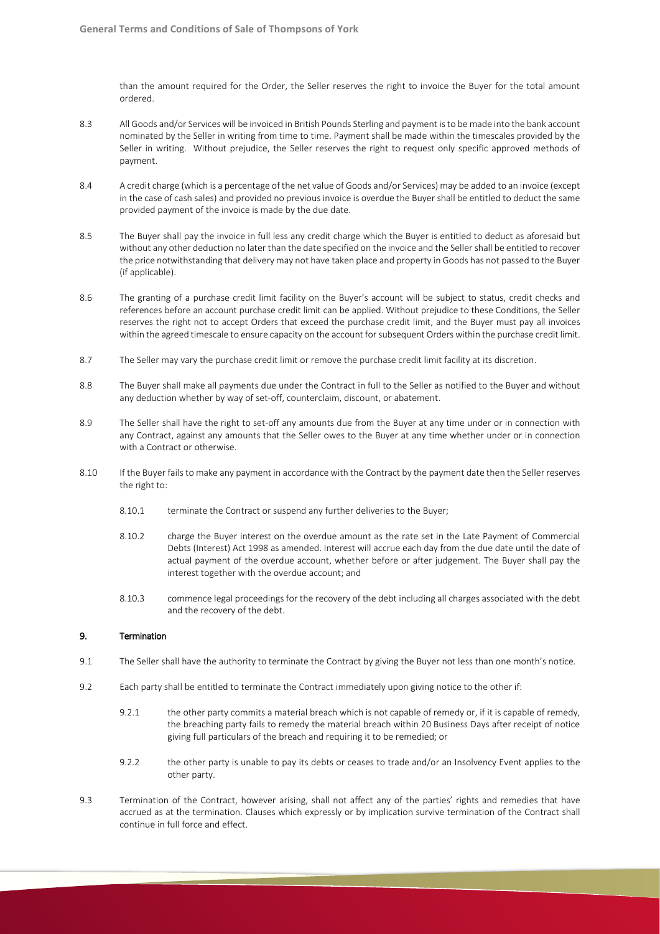than the amount required for the Order, the Seller reserves the right to invoice the Buyer for the total amount ordered.

- 8.3 All Goods and/or Services will be invoiced in British Pounds Sterling and payment is to be made into the bank account nominated by the Seller in writing from time to time. Payment shall be made within the timescales provided by the Seller in writing. Without prejudice, the Seller reserves the right to request only specific approved methods of payment.
- 8.4 A credit charge (which is a percentage of the net value of Goods and/or Services) may be added to an invoice (except in the case of cash sales) and provided no previous invoice is overdue the Buyer shall be entitled to deduct the same provided payment of the invoice is made by the due date.
- 8.5 The Buyer shall pay the invoice in full less any credit charge which the Buyer is entitled to deduct as aforesaid but without any other deduction no later than the date specified on the invoice and the Seller shall be entitled to recover the price notwithstanding that delivery may not have taken place and property in Goods has not passed to the Buyer (if applicable).
- 8.6 The granting of a purchase credit limit facility on the Buyer's account will be subject to status, credit checks and references before an account purchase credit limit can be applied. Without prejudice to these Conditions, the Seller reserves the right not to accept Orders that exceed the purchase credit limit, and the Buyer must pay all invoices within the agreed timescale to ensure capacity on the account for subsequent Orders within the purchase credit limit.
- 8.7 The Seller may vary the purchase credit limit or remove the purchase credit limit facility at its discretion.
- 8.8 The Buyer shall make all payments due under the Contract in full to the Seller as notified to the Buyer and without any deduction whether by way of set-off, counterclaim, discount, or abatement.
- 8.9 The Seller shall have the right to set-off any amounts due from the Buyer at any time under or in connection with any Contract, against any amounts that the Seller owes to the Buyer at any time whether under or in connection with a Contract or otherwise.
- 8.10 If the Buyer fails to make any payment in accordance with the Contract by the payment date then the Seller reserves the right to:
	- 8.10.1 terminate the Contract or suspend any further deliveries to the Buyer;
	- 8.10.2 charge the Buyer interest on the overdue amount as the rate set in the Late Payment of Commercial Debts (Interest) Act 1998 as amended. Interest will accrue each day from the due date until the date of actual payment of the overdue account, whether before or after judgement. The Buyer shall pay the interest together with the overdue account; and
	- 8.10.3 commence legal proceedings for the recovery of the debt including all charges associated with the debt and the recovery of the debt.

# 9. Termination

- 9.1 The Seller shall have the authority to terminate the Contract by giving the Buyer not less than one month's notice.
- 9.2 Each party shall be entitled to terminate the Contract immediately upon giving notice to the other if:
	- 9.2.1 the other party commits a material breach which is not capable of remedy or, if it is capable of remedy, the breaching party fails to remedy the material breach within 20 Business Days after receipt of notice giving full particulars of the breach and requiring it to be remedied; or
	- 9.2.2 the other party is unable to pay its debts or ceases to trade and/or an Insolvency Event applies to the other party.
- 9.3 Termination of the Contract, however arising, shall not affect any of the parties' rights and remedies that have accrued as at the termination. Clauses which expressly or by implication survive termination of the Contract shall continue in full force and effect.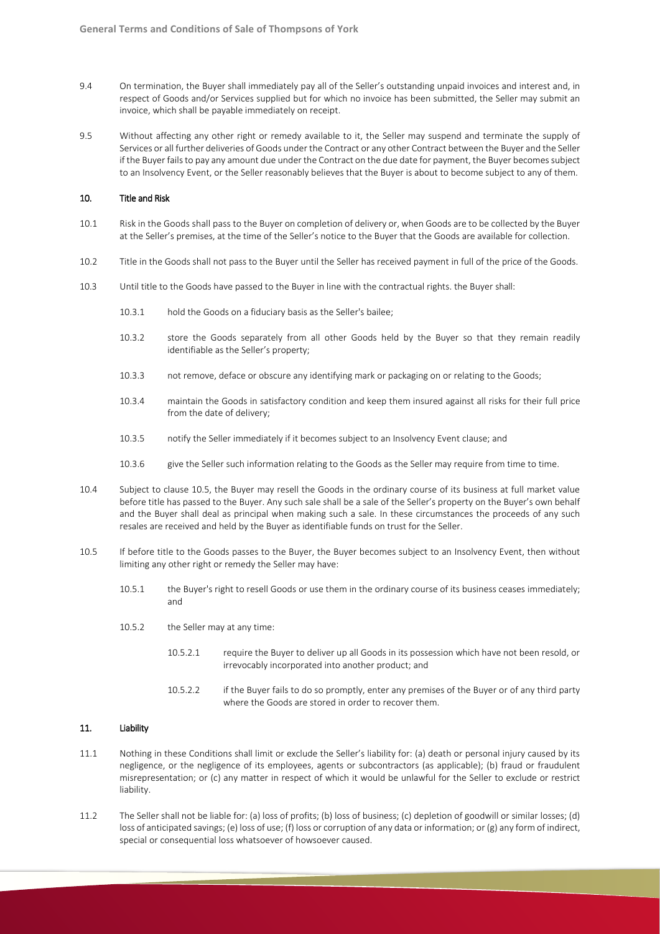- 9.4 On termination, the Buyer shall immediately pay all of the Seller's outstanding unpaid invoices and interest and, in respect of Goods and/or Services supplied but for which no invoice has been submitted, the Seller may submit an invoice, which shall be payable immediately on receipt.
- 9.5 Without affecting any other right or remedy available to it, the Seller may suspend and terminate the supply of Services or all further deliveries of Goods under the Contract or any other Contract between the Buyer and the Seller if the Buyer fails to pay any amount due under the Contract on the due date for payment, the Buyer becomes subject to an Insolvency Event, or the Seller reasonably believes that the Buyer is about to become subject to any of them.

#### 10. Title and Risk

- 10.1 Risk in the Goods shall pass to the Buyer on completion of delivery or, when Goods are to be collected by the Buyer at the Seller's premises, at the time of the Seller's notice to the Buyer that the Goods are available for collection.
- 10.2 Title in the Goods shall not pass to the Buyer until the Seller has received payment in full of the price of the Goods.
- 10.3 Until title to the Goods have passed to the Buyer in line with the contractual rights. the Buyer shall:
	- 10.3.1 hold the Goods on a fiduciary basis as the Seller's bailee;
	- 10.3.2 store the Goods separately from all other Goods held by the Buyer so that they remain readily identifiable as the Seller's property;
	- 10.3.3 not remove, deface or obscure any identifying mark or packaging on or relating to the Goods;
	- 10.3.4 maintain the Goods in satisfactory condition and keep them insured against all risks for their full price from the date of delivery;
	- 10.3.5 notify the Seller immediately if it becomes subject to an Insolvency Event clause; and
	- 10.3.6 give the Seller such information relating to the Goods as the Seller may require from time to time.
- 10.4 Subject to clause 10.5, the Buyer may resell the Goods in the ordinary course of its business at full market value before title has passed to the Buyer. Any such sale shall be a sale of the Seller's property on the Buyer's own behalf and the Buyer shall deal as principal when making such a sale. In these circumstances the proceeds of any such resales are received and held by the Buyer as identifiable funds on trust for the Seller.
- 10.5 If before title to the Goods passes to the Buyer, the Buyer becomes subject to an Insolvency Event, then without limiting any other right or remedy the Seller may have:
	- 10.5.1 the Buyer's right to resell Goods or use them in the ordinary course of its business ceases immediately; and
	- 10.5.2 the Seller may at any time:
		- 10.5.2.1 require the Buyer to deliver up all Goods in its possession which have not been resold, or irrevocably incorporated into another product; and
		- 10.5.2.2 if the Buyer fails to do so promptly, enter any premises of the Buyer or of any third party where the Goods are stored in order to recover them.

## 11. Liability

- 11.1 Nothing in these Conditions shall limit or exclude the Seller's liability for: (a) death or personal injury caused by its negligence, or the negligence of its employees, agents or subcontractors (as applicable); (b) fraud or fraudulent misrepresentation; or (c) any matter in respect of which it would be unlawful for the Seller to exclude or restrict liability.
- 11.2 The Seller shall not be liable for: (a) loss of profits; (b) loss of business; (c) depletion of goodwill or similar losses; (d) loss of anticipated savings; (e) loss of use; (f) loss or corruption of any data or information; or (g) any form of indirect, special or consequential loss whatsoever of howsoever caused.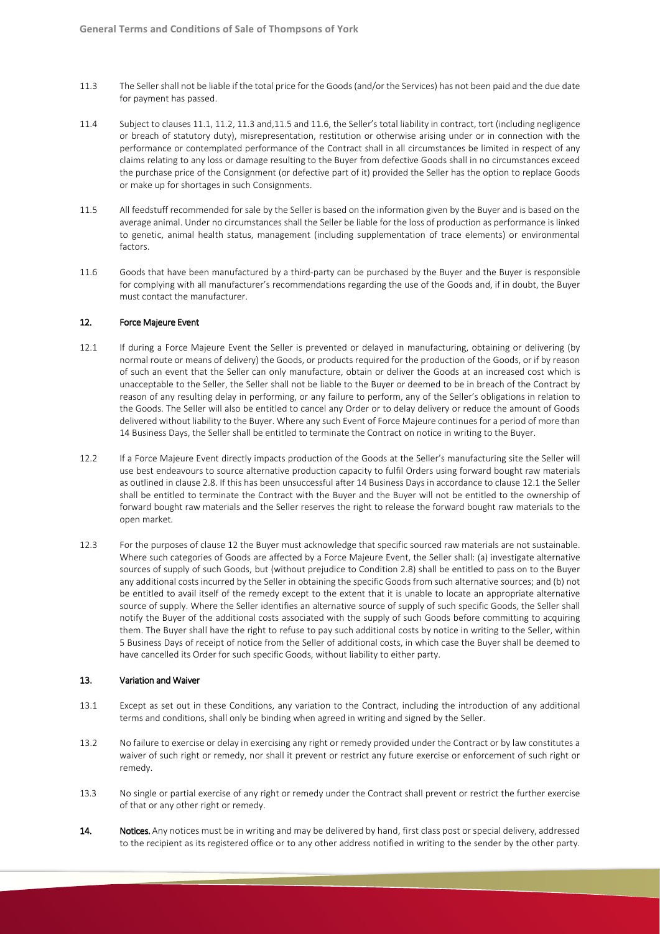- 11.3 The Seller shall not be liable if the total price for the Goods (and/or the Services) has not been paid and the due date for payment has passed.
- 11.4 Subject to clauses 11.1, 11.2, 11.3 and,11.5 and 11.6, the Seller's total liability in contract, tort (including negligence or breach of statutory duty), misrepresentation, restitution or otherwise arising under or in connection with the performance or contemplated performance of the Contract shall in all circumstances be limited in respect of any claims relating to any loss or damage resulting to the Buyer from defective Goods shall in no circumstances exceed the purchase price of the Consignment (or defective part of it) provided the Seller has the option to replace Goods or make up for shortages in such Consignments.
- 11.5 All feedstuff recommended for sale by the Seller is based on the information given by the Buyer and is based on the average animal. Under no circumstances shall the Seller be liable for the loss of production as performance is linked to genetic, animal health status, management (including supplementation of trace elements) or environmental factors.
- 11.6 Goods that have been manufactured by a third-party can be purchased by the Buyer and the Buyer is responsible for complying with all manufacturer's recommendations regarding the use of the Goods and, if in doubt, the Buyer must contact the manufacturer.

# 12. Force Majeure Event

- 12.1 If during a Force Majeure Event the Seller is prevented or delayed in manufacturing, obtaining or delivering (by normal route or means of delivery) the Goods, or products required for the production of the Goods, or if by reason of such an event that the Seller can only manufacture, obtain or deliver the Goods at an increased cost which is unacceptable to the Seller, the Seller shall not be liable to the Buyer or deemed to be in breach of the Contract by reason of any resulting delay in performing, or any failure to perform, any of the Seller's obligations in relation to the Goods. The Seller will also be entitled to cancel any Order or to delay delivery or reduce the amount of Goods delivered without liability to the Buyer. Where any such Event of Force Majeure continues for a period of more than 14 Business Days, the Seller shall be entitled to terminate the Contract on notice in writing to the Buyer.
- 12.2 If a Force Majeure Event directly impacts production of the Goods at the Seller's manufacturing site the Seller will use best endeavours to source alternative production capacity to fulfil Orders using forward bought raw materials as outlined in clause 2.8. If this has been unsuccessful after 14 Business Days in accordance to clause 12.1 the Seller shall be entitled to terminate the Contract with the Buyer and the Buyer will not be entitled to the ownership of forward bought raw materials and the Seller reserves the right to release the forward bought raw materials to the open market*.*
- 12.3 For the purposes of clause 12 the Buyer must acknowledge that specific sourced raw materials are not sustainable. Where such categories of Goods are affected by a Force Majeure Event, the Seller shall: (a) investigate alternative sources of supply of such Goods, but (without prejudice to Condition 2.8) shall be entitled to pass on to the Buyer any additional costs incurred by the Seller in obtaining the specific Goods from such alternative sources; and (b) not be entitled to avail itself of the remedy except to the extent that it is unable to locate an appropriate alternative source of supply. Where the Seller identifies an alternative source of supply of such specific Goods, the Seller shall notify the Buyer of the additional costs associated with the supply of such Goods before committing to acquiring them. The Buyer shall have the right to refuse to pay such additional costs by notice in writing to the Seller, within 5 Business Days of receipt of notice from the Seller of additional costs, in which case the Buyer shall be deemed to have cancelled its Order for such specific Goods, without liability to either party.

## 13. Variation and Waiver

- 13.1 Except as set out in these Conditions, any variation to the Contract, including the introduction of any additional terms and conditions, shall only be binding when agreed in writing and signed by the Seller.
- 13.2 No failure to exercise or delay in exercising any right or remedy provided under the Contract or by law constitutes a waiver of such right or remedy, nor shall it prevent or restrict any future exercise or enforcement of such right or remedy.
- 13.3 No single or partial exercise of any right or remedy under the Contract shall prevent or restrict the further exercise of that or any other right or remedy.
- 14. Notices. Any notices must be in writing and may be delivered by hand, first class post or special delivery, addressed to the recipient as its registered office or to any other address notified in writing to the sender by the other party.